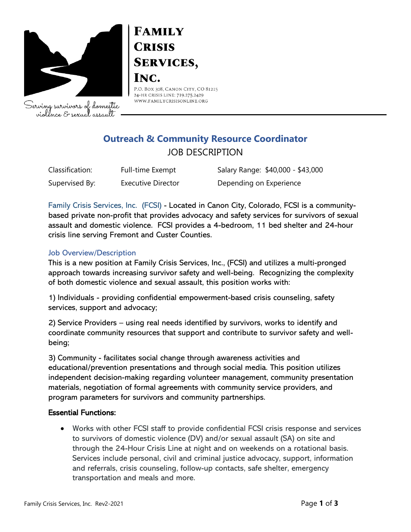

Serving survivors of domestic violence & sexual assault

# **FAMILY CRISIS SERVICES,** INC.

P.O. BOX 308, CANON CITY, CO 81215 24-HR CRISIS LINE: 719.275.2429 WWW.FAMILYCRISISONLINE.ORG

## **Outreach & Community Resource Coordinator** JOB DESCRIPTION

| Classification: | Full-time Exempt          | Salary Range: \$40,000 - \$43,000 |
|-----------------|---------------------------|-----------------------------------|
| Supervised By:  | <b>Executive Director</b> | Depending on Experience           |

Family Crisis Services, Inc. (FCSI) - Located in Canon City, Colorado, FCSI is a communitybased private non-profit that provides advocacy and safety services for survivors of sexual assault and domestic violence. FCSI provides a 4-bedroom, 11 bed shelter and 24-hour crisis line serving Fremont and Custer Counties.

#### Job Overview/Description

This is a new position at Family Crisis Services, Inc., (FCSI) and utilizes a multi-pronged approach towards increasing survivor safety and well-being. Recognizing the complexity of both domestic violence and sexual assault, this position works with:

1) Individuals - providing confidential empowerment-based crisis counseling, safety services, support and advocacy;

2) Service Providers – using real needs identified by survivors, works to identify and coordinate community resources that support and contribute to survivor safety and wellbeing;

3) Community - facilitates social change through awareness activities and educational/prevention presentations and through social media. This position utilizes independent decision-making regarding volunteer management, community presentation materials, negotiation of formal agreements with community service providers, and program parameters for survivors and community partnerships.

#### Essential Functions:

• Works with other FCSI staff to provide confidential FCSI crisis response and services to survivors of domestic violence (DV) and/or sexual assault (SA) on site and through the 24-Hour Crisis Line at night and on weekends on a rotational basis. Services include personal, civil and criminal justice advocacy, support, information and referrals, crisis counseling, follow-up contacts, safe shelter, emergency transportation and meals and more.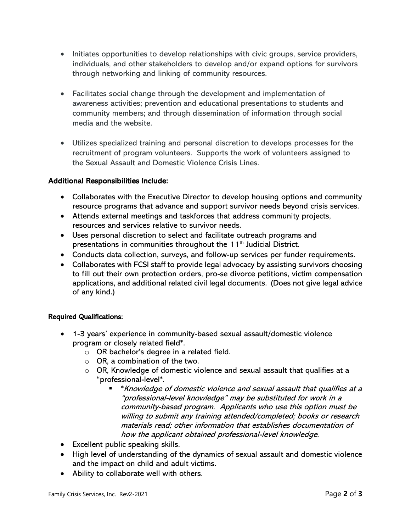- Initiates opportunities to develop relationships with civic groups, service providers, individuals, and other stakeholders to develop and/or expand options for survivors through networking and linking of community resources.
- Facilitates social change through the development and implementation of awareness activities; prevention and educational presentations to students and community members; and through dissemination of information through social media and the website.
- Utilizes specialized training and personal discretion to develops processes for the recruitment of program volunteers. Supports the work of volunteers assigned to the Sexual Assault and Domestic Violence Crisis Lines.

#### Additional Responsibilities Include:

- Collaborates with the Executive Director to develop housing options and community resource programs that advance and support survivor needs beyond crisis services.
- Attends external meetings and taskforces that address community projects, resources and services relative to survivor needs.
- Uses personal discretion to select and facilitate outreach programs and presentations in communities throughout the 11<sup>th</sup> Judicial District.
- Conducts data collection, surveys, and follow-up services per funder requirements.
- Collaborates with FCSI staff to provide legal advocacy by assisting survivors choosing to fill out their own protection orders, pro-se divorce petitions, victim compensation applications, and additional related civil legal documents. (Does not give legal advice of any kind.)

#### Required Qualifications:

- 1-3 years' experience in community-based sexual assault/domestic violence program or closely related field\*.
	- o OR bachelor's degree in a related field.
	- $\circ$  OR, a combination of the two.
	- $\circ$  OR, Knowledge of domestic violence and sexual assault that qualifies at a "professional-level\*.
		- \*Knowledge of domestic violence and sexual assault that qualifies at a "professional-level knowledge" may be substituted for work in a community-based program. Applicants who use this option must be willing to submit any training attended/completed; books or research materials read; other information that establishes documentation of how the applicant obtained professional-level knowledge.
- Excellent public speaking skills.
- High level of understanding of the dynamics of sexual assault and domestic violence and the impact on child and adult victims.
- Ability to collaborate well with others.